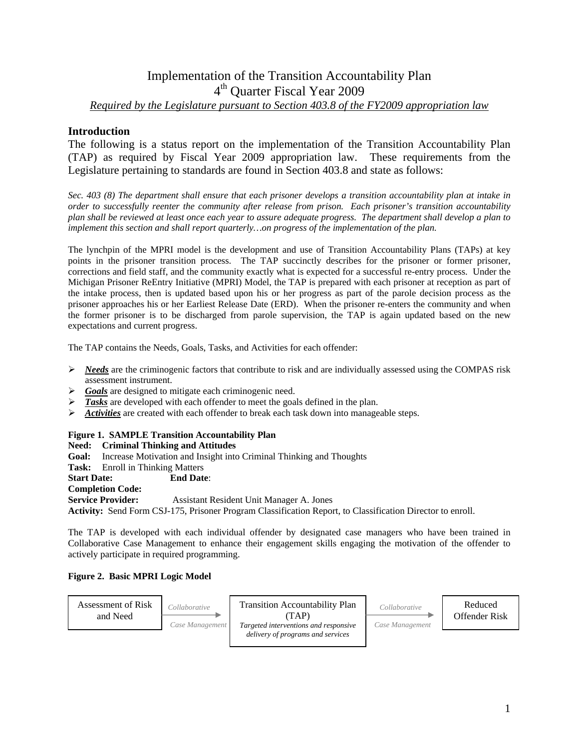# Implementation of the Transition Accountability Plan 4th Quarter Fiscal Year 2009 *Required by the Legislature pursuant to Section 403.8 of the FY2009 appropriation law*

## **Introduction**

The following is a status report on the implementation of the Transition Accountability Plan (TAP) as required by Fiscal Year 2009 appropriation law. These requirements from the Legislature pertaining to standards are found in Section 403.8 and state as follows:

*Sec. 403 (8) The department shall ensure that each prisoner develops a transition accountability plan at intake in order to successfully reenter the community after release from prison. Each prisoner's transition accountability plan shall be reviewed at least once each year to assure adequate progress. The department shall develop a plan to implement this section and shall report quarterly…on progress of the implementation of the plan.* 

The lynchpin of the MPRI model is the development and use of Transition Accountability Plans (TAPs) at key points in the prisoner transition process. The TAP succinctly describes for the prisoner or former prisoner, corrections and field staff, and the community exactly what is expected for a successful re-entry process. Under the Michigan Prisoner ReEntry Initiative (MPRI) Model, the TAP is prepared with each prisoner at reception as part of the intake process, then is updated based upon his or her progress as part of the parole decision process as the prisoner approaches his or her Earliest Release Date (ERD). When the prisoner re-enters the community and when the former prisoner is to be discharged from parole supervision, the TAP is again updated based on the new expectations and current progress.

The TAP contains the Needs, Goals, Tasks, and Activities for each offender:

- ¾ *Needs* are the criminogenic factors that contribute to risk and are individually assessed using the COMPAS risk assessment instrument.
- ¾ *Goals* are designed to mitigate each criminogenic need.
- ¾ *Tasks* are developed with each offender to meet the goals defined in the plan.
- ¾ *Activities* are created with each offender to break each task down into manageable steps.

#### **Figure 1. SAMPLE Transition Accountability Plan**

**Need: Criminal Thinking and Attitudes** 

**Goal:** Increase Motivation and Insight into Criminal Thinking and Thoughts

# **Task:** Enroll in Thinking Matters

**Start Date: End Date**:

# **Completion Code:**

**Service Provider:** Assistant Resident Unit Manager A. Jones

**Activity:** Send Form CSJ-175, Prisoner Program Classification Report, to Classification Director to enroll.

The TAP is developed with each individual offender by designated case managers who have been trained in Collaborative Case Management to enhance their engagement skills engaging the motivation of the offender to actively participate in required programming.

#### **Figure 2. Basic MPRI Logic Model**

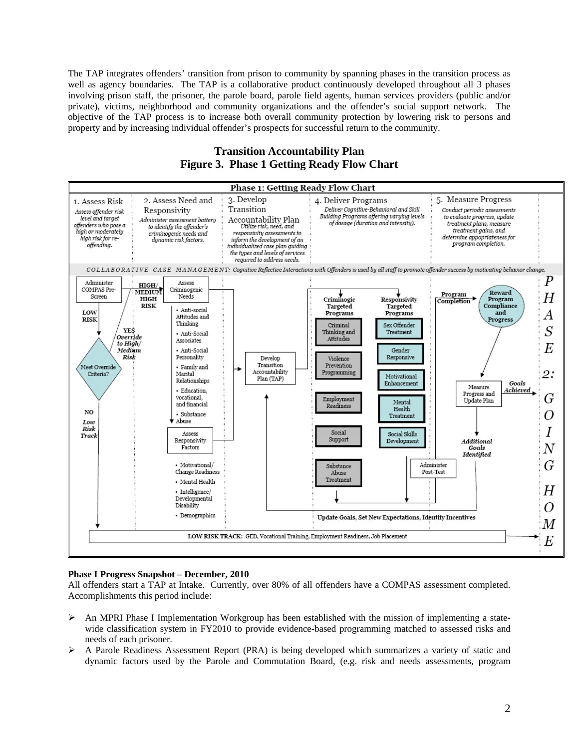The TAP integrates offenders' transition from prison to community by spanning phases in the transition process as well as agency boundaries. The TAP is a collaborative product continuously developed throughout all 3 phases involving prison staff, the prisoner, the parole board, parole field agents, human services providers (public and/or private), victims, neighborhood and community organizations and the offender's social support network. The objective of the TAP process is to increase both overall community protection by lowering risk to persons and property and by increasing individual offender's prospects for successful return to the community.

### **Transition Accountability Plan Figure 3. Phase 1 Getting Ready Flow Chart**



#### **Phase I Progress Snapshot – December, 2010**

All offenders start a TAP at Intake. Currently, over 80% of all offenders have a COMPAS assessment completed. Accomplishments this period include:

- $\triangleright$  An MPRI Phase I Implementation Workgroup has been established with the mission of implementing a statewide classification system in FY2010 to provide evidence-based programming matched to assessed risks and needs of each prisoner.
- ¾ A Parole Readiness Assessment Report (PRA) is being developed which summarizes a variety of static and dynamic factors used by the Parole and Commutation Board, (e.g. risk and needs assessments, program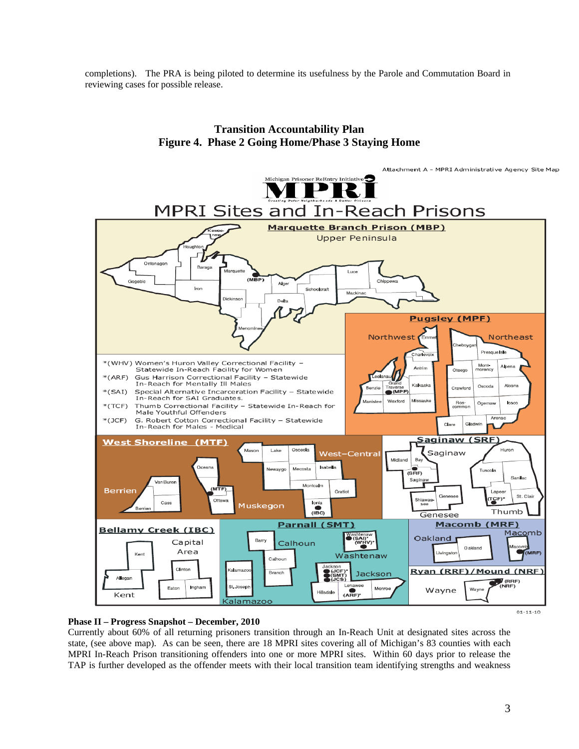completions). The PRA is being piloted to determine its usefulness by the Parole and Commutation Board in reviewing cases for possible release.



### **Transition Accountability Plan Figure 4. Phase 2 Going Home/Phase 3 Staying Home**

#### **Phase II – Progress Snapshot – December, 2010**

Currently about 60% of all returning prisoners transition through an In-Reach Unit at designated sites across the state, (see above map). As can be seen, there are 18 MPRI sites covering all of Michigan's 83 counties with each MPRI In-Reach Prison transitioning offenders into one or more MPRI sites. Within 60 days prior to release the TAP is further developed as the offender meets with their local transition team identifying strengths and weakness